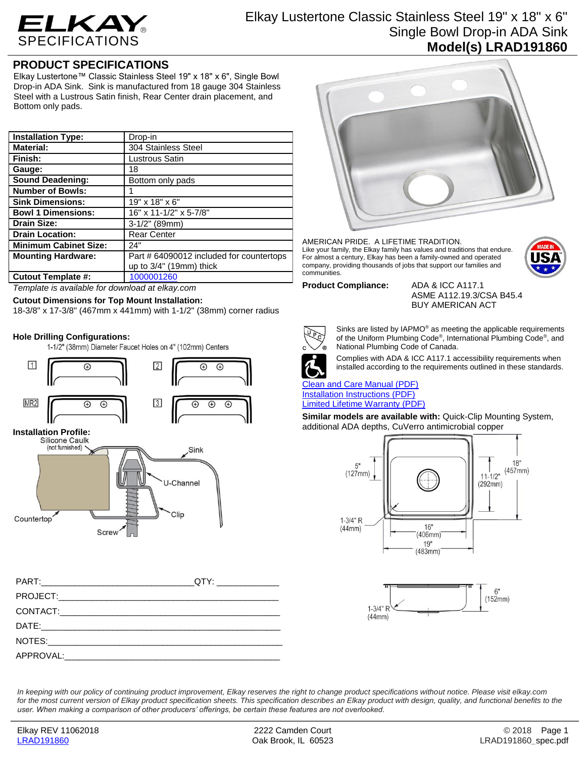

# Elkay Lustertone Classic Stainless Steel 19" x 18" x 6" Single Bowl Drop-in ADA Sink **Model(s) LRAD191860**

## **PRODUCT SPECIFICATIONS**

Elkay Lustertone™ Classic Stainless Steel 19" x 18" x 6", Single Bowl Drop-in ADA Sink. Sink is manufactured from 18 gauge 304 Stainless Steel with a Lustrous Satin finish, Rear Center drain placement, and Bottom only pads.

| <b>Installation Type:</b>    | Drop-in                                  |
|------------------------------|------------------------------------------|
| <b>Material:</b>             | 304 Stainless Steel                      |
| Finish:                      | Lustrous Satin                           |
| Gauge:                       | 18                                       |
| <b>Sound Deadening:</b>      | Bottom only pads                         |
| <b>Number of Bowls:</b>      |                                          |
| <b>Sink Dimensions:</b>      | 19" x 18" x 6"                           |
| <b>Bowl 1 Dimensions:</b>    | 16" x 11-1/2" x 5-7/8"                   |
| <b>Drain Size:</b>           | 3-1/2" (89mm)                            |
| <b>Drain Location:</b>       | <b>Rear Center</b>                       |
| <b>Minimum Cabinet Size:</b> | 24"                                      |
| <b>Mounting Hardware:</b>    | Part # 64090012 included for countertops |
|                              | up to $3/4$ " (19mm) thick               |
| <b>Cutout Template #:</b>    | 1000001260                               |

*Template is available for download at elkay.com*

## **Cutout Dimensions for Top Mount Installation:**

18-3/8" x 17-3/8" (467mm x 441mm) with 1-1/2" (38mm) corner radius

**Hole Drilling Configurations:**







### AMERICAN PRIDE. A LIFETIME TRADITION. Like your family, the Elkay family has values and traditions that endure. For almost a century, Elkay has been a family-owned and operated company, providing thousands of jobs that support our families and communities.



ASME A112.19.3/CSA B45.4 BUY AMERICAN ACT



Sinks are listed by IAPMO® as meeting the applicable requirements of the Uniform Plumbing Code® , International Plumbing Code® , and National Plumbing Code of Canada.



Complies with ADA & ICC A117.1 accessibility requirements when installed according to the requirements outlined in these standards.

[Clean and Care Manual \(PDF\)](http://www.elkay.com/wcsstore/lkdocs/care-cleaning-install-warranty-sheets/residential%20and%20commercial%20care%20%20cleaning.pdf) [Installation Instructions \(PDF\)](http://www.elkay.com/wcsstore/lkdocs/care-cleaning-install-warranty-sheets/74180147.pdf) [Limited Lifetime Warranty](http://www.elkay.com/wcsstore/lkdocs/care-cleaning-install-warranty-sheets/residential%20sinks%20warranty.pdf) (PDF)

**Similar models are available with:** Quick-Clip Mounting System, additional ADA depths, CuVerro antimicrobial copper





*In keeping with our policy of continuing product improvement, Elkay reserves the right to change product specifications without notice. Please visit elkay.com*  for the most current version of Elkay product specification sheets. This specification describes an Elkay product with design, quality, and functional benefits to the *user. When making a comparison of other producers' offerings, be certain these features are not overlooked.*